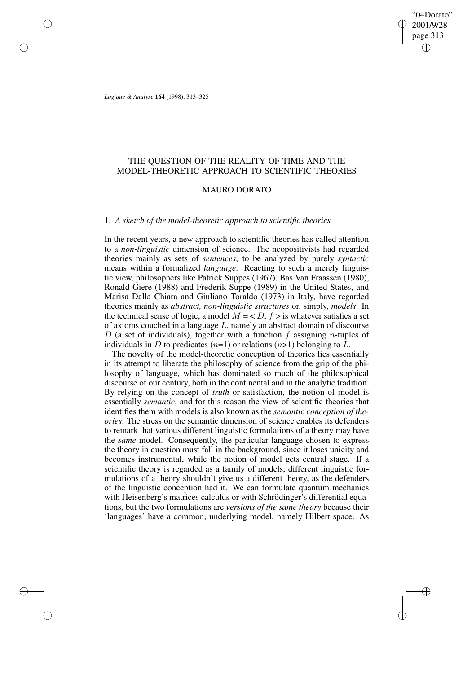# THE QUESTION OF THE REALITY OF TIME AND THE MODEL-THEORETIC APPROACH TO SCIENTIFIC THEORIES

#### MAURO DORATO

## 1. *A sketch of the model-theoretic approach to scientific theories*

In the recent years, a new approach to scientific theories has called attention to a *non-linguistic* dimension of science. The neopositivists had regarded theories mainly as sets of *sentences*, to be analyzed by purely *syntactic* means within a formalized *language*. Reacting to such a merely linguistic view, philosophers like Patrick Suppes (1967), Bas Van Fraassen (1980), Ronald Giere (1988) and Frederik Suppe (1989) in the United States, and Marisa Dalla Chiara and Giuliano Toraldo (1973) in Italy, have regarded theories mainly as *abstract, non-linguistic structures* or, simply, *models*. In the technical sense of logic, a model  $M = < D$ ,  $f >$  is whatever satisfies a set of axioms couched in a language L, namely an abstract domain of discourse D (a set of individuals), together with a function  $f$  assigning n-tuples of individuals in D to predicates  $(n=1)$  or relations  $(n>1)$  belonging to L.

The novelty of the model-theoretic conception of theories lies essentially in its attempt to liberate the philosophy of science from the grip of the philosophy of language, which has dominated so much of the philosophical discourse of our century, both in the continental and in the analytic tradition. By relying on the concept of *truth* or satisfaction, the notion of model is essentially *semantic*, and for this reason the view of scientific theories that identifies them with models is also known as the *semantic conception of theories*. The stress on the semantic dimension of science enables its defenders to remark that various different linguistic formulations of a theory may have the *same* model. Consequently, the particular language chosen to express the theory in question must fall in the background, since it loses unicity and becomes instrumental, while the notion of model gets central stage. If a scientific theory is regarded as a family of models, different linguistic formulations of a theory shouldn't give us a different theory, as the defenders of the linguistic conception had it. We can formulate quantum mechanics with Heisenberg's matrices calculus or with Schrödinger's differential equations, but the two formulations are *versions of the same theory* because their 'languages' have a common, underlying model, namely Hilbert space. As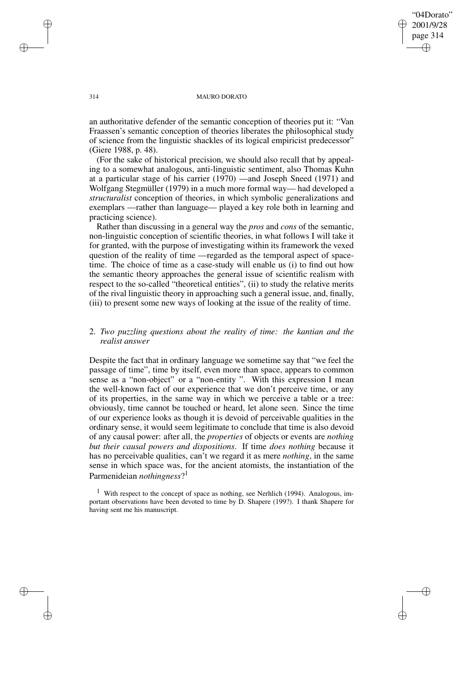an authoritative defender of the semantic conception of theories put it: "Van Fraassen's semantic conception of theories liberates the philosophical study of science from the linguistic shackles of its logical empiricist predecessor" (Giere 1988, p. 48).

(For the sake of historical precision, we should also recall that by appealing to a somewhat analogous, anti-linguistic sentiment, also Thomas Kuhn at a particular stage of his carrier (1970) —and Joseph Sneed (1971) and Wolfgang Stegmüller (1979) in a much more formal way— had developed a *structuralist* conception of theories, in which symbolic generalizations and exemplars —rather than language— played a key role both in learning and practicing science).

Rather than discussing in a general way the *pros* and *cons* of the semantic, non-linguistic conception of scientific theories, in what follows I will take it for granted, with the purpose of investigating within its framework the vexed question of the reality of time —regarded as the temporal aspect of spacetime. The choice of time as a case-study will enable us (i) to find out how the semantic theory approaches the general issue of scientific realism with respect to the so-called "theoretical entities", (ii) to study the relative merits of the rival linguistic theory in approaching such a general issue, and, finally, (iii) to present some new ways of looking at the issue of the reality of time.

# 2. *Two puzzling questions about the reality of time: the kantian and the realist answer*

Despite the fact that in ordinary language we sometime say that "we feel the passage of time", time by itself, even more than space, appears to common sense as a "non-object" or a "non-entity ". With this expression I mean the well-known fact of our experience that we don't perceive time, or any of its properties, in the same way in which we perceive a table or a tree: obviously, time cannot be touched or heard, let alone seen. Since the time of our experience looks as though it is devoid of perceivable qualities in the ordinary sense, it would seem legitimate to conclude that time is also devoid of any causal power: after all, the *properties* of objects or events are *nothing but their causal powers and dispositions*. If time *does nothing* because it has no perceivable qualities, can't we regard it as mere *nothing*, in the same sense in which space was, for the ancient atomists, the instantiation of the Parmenideian *nothingness*? 1

<sup>1</sup> With respect to the concept of space as nothing, see Nerhlich (1994). Analogous, important observations have been devoted to time by D. Shapere (199?). I thank Shapere for having sent me his manuscript.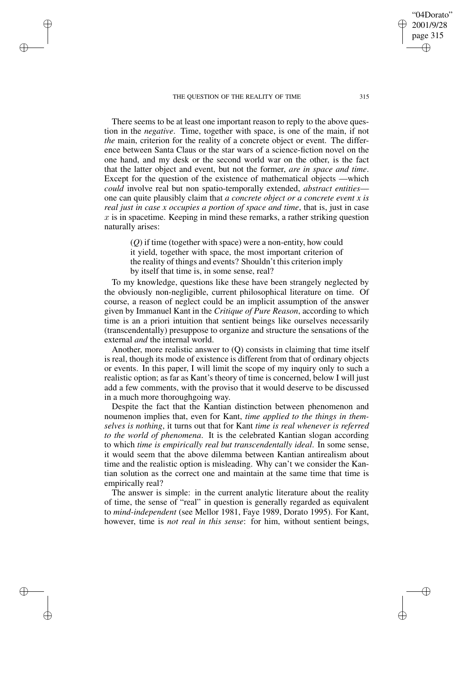There seems to be at least one important reason to reply to the above question in the *negative*. Time, together with space, is one of the main, if not *the* main, criterion for the reality of a concrete object or event. The difference between Santa Claus or the star wars of a science-fiction novel on the one hand, and my desk or the second world war on the other, is the fact that the latter object and event, but not the former, *are in space and time*. Except for the question of the existence of mathematical objects —which *could* involve real but non spatio-temporally extended, *abstract entities* one can quite plausibly claim that *a concrete object or a concrete event x is real just in case x occupies a portion of space and time*, that is, just in case  $x$  is in spacetime. Keeping in mind these remarks, a rather striking question naturally arises:

(*Q*) if time (together with space) were a non-entity, how could it yield, together with space, the most important criterion of the reality of things and events? Shouldn't this criterion imply by itself that time is, in some sense, real?

To my knowledge, questions like these have been strangely neglected by the obviously non-negligible, current philosophical literature on time. Of course, a reason of neglect could be an implicit assumption of the answer given by Immanuel Kant in the *Critique of Pure Reason*, according to which time is an a priori intuition that sentient beings like ourselves necessarily (transcendentally) presuppose to organize and structure the sensations of the external *and* the internal world.

Another, more realistic answer to  $(Q)$  consists in claiming that time itself is real, though its mode of existence is different from that of ordinary objects or events. In this paper, I will limit the scope of my inquiry only to such a realistic option; as far as Kant's theory of time is concerned, below I will just add a few comments, with the proviso that it would deserve to be discussed in a much more thoroughgoing way.

Despite the fact that the Kantian distinction between phenomenon and noumenon implies that, even for Kant, *time applied to the things in themselves is nothing*, it turns out that for Kant *time is real whenever is referred to the world of phenomena*. It is the celebrated Kantian slogan according to which *time is empirically real but transcendentally ideal*. In some sense, it would seem that the above dilemma between Kantian antirealism about time and the realistic option is misleading. Why can't we consider the Kantian solution as the correct one and maintain at the same time that time is empirically real?

The answer is simple: in the current analytic literature about the reality of time, the sense of "real" in question is generally regarded as equivalent to *mind-independent* (see Mellor 1981, Faye 1989, Dorato 1995). For Kant, however, time is *not real in this sense*: for him, without sentient beings,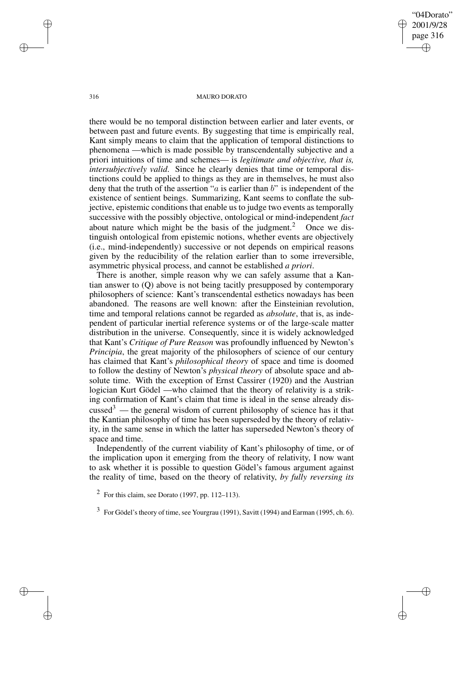there would be no temporal distinction between earlier and later events, or between past and future events. By suggesting that time is empirically real, Kant simply means to claim that the application of temporal distinctions to phenomena —which is made possible by transcendentally subjective and a priori intuitions of time and schemes— is *legitimate and objective, that is, intersubjectively valid*. Since he clearly denies that time or temporal distinctions could be applied to things as they are in themselves, he must also deny that the truth of the assertion " $a$  is earlier than  $b$ " is independent of the existence of sentient beings. Summarizing, Kant seems to conflate the subjective, epistemic conditions that enable us to judge two events as temporally successive with the possibly objective, ontological or mind-independent *fact* about nature which might be the basis of the judgment.<sup>2</sup> Once we distinguish ontological from epistemic notions, whether events are objectively (i.e., mind-independently) successive or not depends on empirical reasons given by the reducibility of the relation earlier than to some irreversible, asymmetric physical process, and cannot be established *a priori*.

There is another, simple reason why we can safely assume that a Kantian answer to (Q) above is not being tacitly presupposed by contemporary philosophers of science: Kant's transcendental esthetics nowadays has been abandoned. The reasons are well known: after the Einsteinian revolution, time and temporal relations cannot be regarded as *absolute*, that is, as independent of particular inertial reference systems or of the large-scale matter distribution in the universe. Consequently, since it is widely acknowledged that Kant's *Critique of Pure Reason* was profoundly influenced by Newton's *Principia*, the great majority of the philosophers of science of our century has claimed that Kant's *philosophical theory* of space and time is doomed to follow the destiny of Newton's *physical theory* of absolute space and absolute time. With the exception of Ernst Cassirer (1920) and the Austrian logician Kurt Gödel —who claimed that the theory of relativity is a striking confirmation of Kant's claim that time is ideal in the sense already dis $cussed^3$  — the general wisdom of current philosophy of science has it that the Kantian philosophy of time has been superseded by the theory of relativity, in the same sense in which the latter has superseded Newton's theory of space and time.

Independently of the current viability of Kant's philosophy of time, or of the implication upon it emerging from the theory of relativity, I now want to ask whether it is possible to question Gödel's famous argument against the reality of time, based on the theory of relativity, *by fully reversing its*

 $<sup>2</sup>$  For this claim, see Dorato (1997, pp. 112–113).</sup>

 $3 \text{ For Gödel's theory of time, see Youngrau (1991), Savitt (1994) and Earman (1995, ch. 6).}$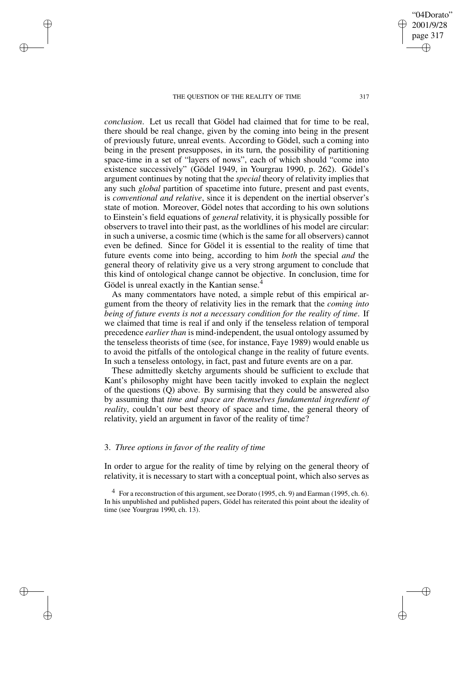*conclusion*. Let us recall that Gödel had claimed that for time to be real, there should be real change, given by the coming into being in the present of previously future, unreal events. According to Gödel, such a coming into being in the present presupposes, in its turn, the possibility of partitioning space-time in a set of "layers of nows", each of which should "come into existence successively" (Gödel 1949, in Yourgrau 1990, p. 262). Gödel's argument continues by noting that the *special* theory of relativity implies that any such *global* partition of spacetime into future, present and past events, is *conventional and relative*, since it is dependent on the inertial observer's state of motion. Moreover, Gödel notes that according to his own solutions to Einstein's field equations of *general* relativity, it is physically possible for observers to travel into their past, as the worldlines of his model are circular: in such a universe, a cosmic time (which is the same for all observers) cannot even be defined. Since for Gödel it is essential to the reality of time that future events come into being, according to him *both* the special *and* the general theory of relativity give us a very strong argument to conclude that this kind of ontological change cannot be objective. In conclusion, time for Gödel is unreal exactly in the Kantian sense.<sup>4</sup>

As many commentators have noted, a simple rebut of this empirical argument from the theory of relativity lies in the remark that the *coming into being of future events is not a necessary condition for the reality of time*. If we claimed that time is real if and only if the tenseless relation of temporal precedence *earlier than* is mind-independent, the usual ontology assumed by the tenseless theorists of time (see, for instance, Faye 1989) would enable us to avoid the pitfalls of the ontological change in the reality of future events. In such a tenseless ontology, in fact, past and future events are on a par.

These admittedly sketchy arguments should be sufficient to exclude that Kant's philosophy might have been tacitly invoked to explain the neglect of the questions (Q) above. By surmising that they could be answered also by assuming that *time and space are themselves fundamental ingredient of reality*, couldn't our best theory of space and time, the general theory of relativity, yield an argument in favor of the reality of time?

#### 3. *Three options in favor of the reality of time*

In order to argue for the reality of time by relying on the general theory of relativity, it is necessary to start with a conceptual point, which also serves as

<sup>4</sup> For a reconstruction of this argument, see Dorato (1995, ch. 9) and Earman (1995, ch. 6). In his unpublished and published papers, Gödel has reiterated this point about the ideality of time (see Yourgrau 1990, ch. 13).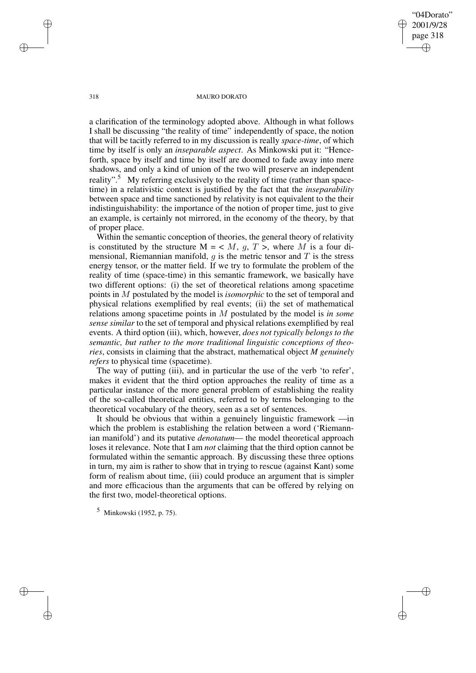a clarification of the terminology adopted above. Although in what follows I shall be discussing "the reality of time" independently of space, the notion that will be tacitly referred to in my discussion is really *space-time*, of which time by itself is only an *inseparable aspect*. As Minkowski put it: "Henceforth, space by itself and time by itself are doomed to fade away into mere shadows, and only a kind of union of the two will preserve an independent reality".<sup>5</sup> My referring exclusively to the reality of time (rather than spacetime) in a relativistic context is justified by the fact that the *inseparability* between space and time sanctioned by relativity is not equivalent to the their indistinguishability: the importance of the notion of proper time, just to give an example, is certainly not mirrored, in the economy of the theory, by that of proper place.

Within the semantic conception of theories, the general theory of relativity is constituted by the structure  $M = \langle M, a, T \rangle$ , where M is a four dimensional, Riemannian manifold,  $q$  is the metric tensor and  $T$  is the stress energy tensor, or the matter field. If we try to formulate the problem of the reality of time (space-time) in this semantic framework, we basically have two different options: (i) the set of theoretical relations among spacetime points in M postulated by the model is *isomorphic* to the set of temporal and physical relations exemplified by real events; (ii) the set of mathematical relations among spacetime points in M postulated by the model is *in some sense similar* to the set of temporal and physical relations exemplified by real events. A third option (iii), which, however, *does not typically belongs to the semantic, but rather to the more traditional linguistic conceptions of theories*, consists in claiming that the abstract, mathematical object *M genuinely refers* to physical time (spacetime).

The way of putting (iii), and in particular the use of the verb 'to refer', makes it evident that the third option approaches the reality of time as a particular instance of the more general problem of establishing the reality of the so-called theoretical entities, referred to by terms belonging to the theoretical vocabulary of the theory, seen as a set of sentences.

It should be obvious that within a genuinely linguistic framework —in which the problem is establishing the relation between a word ('Riemannian manifold') and its putative *denotatum*— the model theoretical approach loses it relevance. Note that I am *not* claiming that the third option cannot be formulated within the semantic approach. By discussing these three options in turn, my aim is rather to show that in trying to rescue (against Kant) some form of realism about time, (iii) could produce an argument that is simpler and more efficacious than the arguments that can be offered by relying on the first two, model-theoretical options.

<sup>5</sup> Minkowski (1952, p. 75).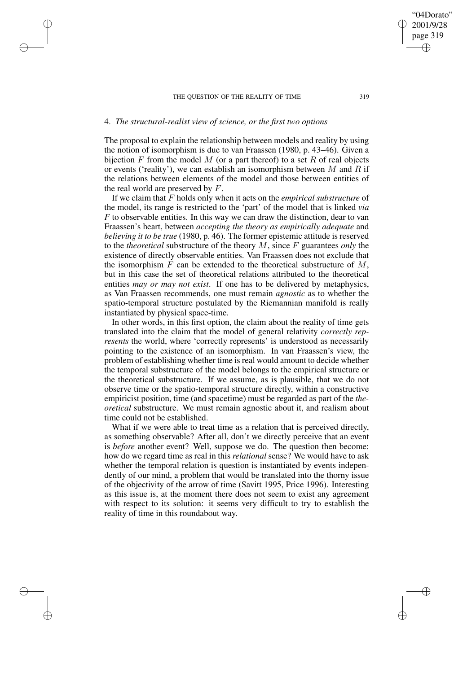## 4. *The structural-realist view of science, or the first two options*

The proposal to explain the relationship between models and reality by using the notion of isomorphism is due to van Fraassen (1980, p. 43–46). Given a bijection  $F$  from the model  $M$  (or a part thereof) to a set  $R$  of real objects or events ('reality'), we can establish an isomorphism between  $M$  and  $\hat{R}$  if the relations between elements of the model and those between entities of the real world are preserved by F.

If we claim that F holds only when it acts on the *empirical substructure* of the model, its range is restricted to the 'part' of the model that is linked *via F* to observable entities. In this way we can draw the distinction, dear to van Fraassen's heart, between *accepting the theory as empirically adequate* and *believing it to be true* (1980, p. 46). The former epistemic attitude is reserved to the *theoretical* substructure of the theory M, since F guarantees *only* the existence of directly observable entities. Van Fraassen does not exclude that the isomorphism  $F$  can be extended to the theoretical substructure of  $M$ , but in this case the set of theoretical relations attributed to the theoretical entities *may or may not exist*. If one has to be delivered by metaphysics, as Van Fraassen recommends, one must remain *agnostic* as to whether the spatio-temporal structure postulated by the Riemannian manifold is really instantiated by physical space-time.

In other words, in this first option, the claim about the reality of time gets translated into the claim that the model of general relativity *correctly represents* the world, where 'correctly represents' is understood as necessarily pointing to the existence of an isomorphism. In van Fraassen's view, the problem of establishing whether time is real would amount to decide whether the temporal substructure of the model belongs to the empirical structure or the theoretical substructure. If we assume, as is plausible, that we do not observe time or the spatio-temporal structure directly, within a constructive empiricist position, time (and spacetime) must be regarded as part of the *theoretical* substructure. We must remain agnostic about it, and realism about time could not be established.

What if we were able to treat time as a relation that is perceived directly, as something observable? After all, don't we directly perceive that an event is *before* another event? Well, suppose we do. The question then become: how do we regard time as real in this *relational* sense? We would have to ask whether the temporal relation is question is instantiated by events independently of our mind, a problem that would be translated into the thorny issue of the objectivity of the arrow of time (Savitt 1995, Price 1996). Interesting as this issue is, at the moment there does not seem to exist any agreement with respect to its solution: it seems very difficult to try to establish the reality of time in this roundabout way.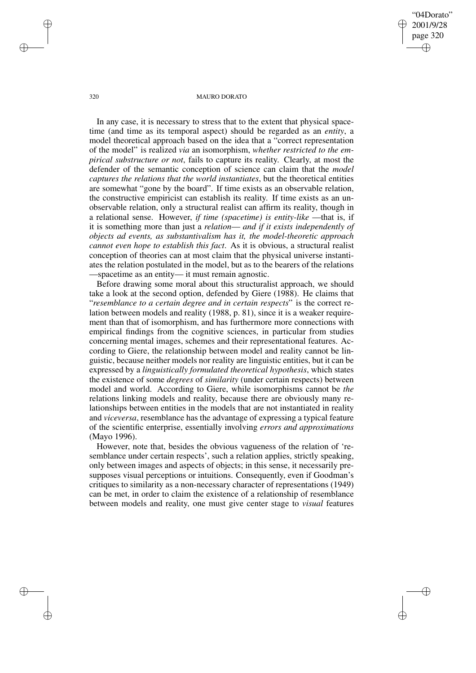#### 320 MAURO DORATO

In any case, it is necessary to stress that to the extent that physical spacetime (and time as its temporal aspect) should be regarded as an *entity*, a model theoretical approach based on the idea that a "correct representation of the model" is realized *via* an isomorphism, *whether restricted to the empirical substructure or not*, fails to capture its reality. Clearly, at most the defender of the semantic conception of science can claim that the *model captures the relations that the world instantiates*, but the theoretical entities are somewhat "gone by the board". If time exists as an observable relation, the constructive empiricist can establish its reality. If time exists as an unobservable relation, only a structural realist can affirm its reality, though in a relational sense. However, *if time (spacetime) is entity-like* —that is, if it is something more than just a *relation*— *and if it exists independently of objects ad events, as substantivalism has it, the model-theoretic approach cannot even hope to establish this fact*. As it is obvious, a structural realist conception of theories can at most claim that the physical universe instantiates the relation postulated in the model, but as to the bearers of the relations —spacetime as an entity— it must remain agnostic.

Before drawing some moral about this structuralist approach, we should take a look at the second option, defended by Giere (1988). He claims that "*resemblance to a certain degree and in certain respects*" is the correct relation between models and reality (1988, p. 81), since it is a weaker requirement than that of isomorphism, and has furthermore more connections with empirical findings from the cognitive sciences, in particular from studies concerning mental images, schemes and their representational features. According to Giere, the relationship between model and reality cannot be linguistic, because neither models nor reality are linguistic entities, but it can be expressed by a *linguistically formulated theoretical hypothesis*, which states the existence of some *degrees* of *similarity* (under certain respects) between model and world. According to Giere, while isomorphisms cannot be *the* relations linking models and reality, because there are obviously many relationships between entities in the models that are not instantiated in reality and *viceversa*, resemblance has the advantage of expressing a typical feature of the scientific enterprise, essentially involving *errors and approximations* (Mayo 1996).

However, note that, besides the obvious vagueness of the relation of 'resemblance under certain respects', such a relation applies, strictly speaking, only between images and aspects of objects; in this sense, it necessarily presupposes visual perceptions or intuitions. Consequently, even if Goodman's critiques to similarity as a non-necessary character of representations (1949) can be met, in order to claim the existence of a relationship of resemblance between models and reality, one must give center stage to *visual* features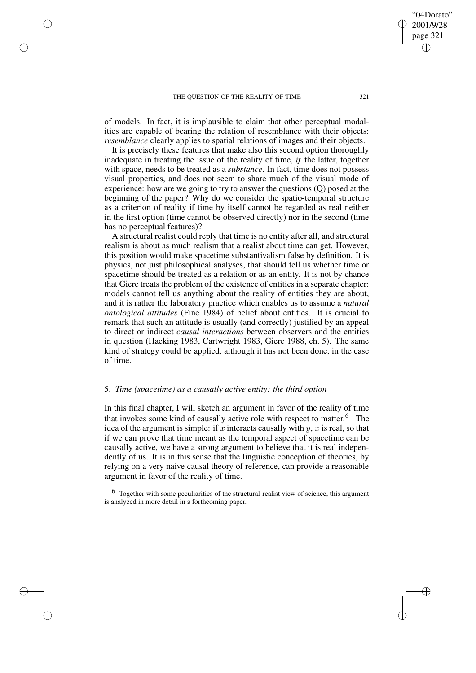of models. In fact, it is implausible to claim that other perceptual modalities are capable of bearing the relation of resemblance with their objects: *resemblance* clearly applies to spatial relations of images and their objects.

It is precisely these features that make also this second option thoroughly inadequate in treating the issue of the reality of time, *if* the latter, together with space, needs to be treated as a *substance*. In fact, time does not possess visual properties, and does not seem to share much of the visual mode of experience: how are we going to try to answer the questions (Q) posed at the beginning of the paper? Why do we consider the spatio-temporal structure as a criterion of reality if time by itself cannot be regarded as real neither in the first option (time cannot be observed directly) nor in the second (time has no perceptual features)?

A structural realist could reply that time is no entity after all, and structural realism is about as much realism that a realist about time can get. However, this position would make spacetime substantivalism false by definition. It is physics, not just philosophical analyses, that should tell us whether time or spacetime should be treated as a relation or as an entity. It is not by chance that Giere treats the problem of the existence of entities in a separate chapter: models cannot tell us anything about the reality of entities they are about, and it is rather the laboratory practice which enables us to assume a *natural ontological attitudes* (Fine 1984) of belief about entities. It is crucial to remark that such an attitude is usually (and correctly) justified by an appeal to direct or indirect *causal interactions* between observers and the entities in question (Hacking 1983, Cartwright 1983, Giere 1988, ch. 5). The same kind of strategy could be applied, although it has not been done, in the case of time.

#### 5. *Time (spacetime) as a causally active entity: the third option*

In this final chapter, I will sketch an argument in favor of the reality of time that invokes some kind of causally active role with respect to matter.<sup>6</sup> The idea of the argument is simple: if x interacts causally with y, x is real, so that if we can prove that time meant as the temporal aspect of spacetime can be causally active, we have a strong argument to believe that it is real independently of us. It is in this sense that the linguistic conception of theories, by relying on a very naive causal theory of reference, can provide a reasonable argument in favor of the reality of time.

 $6\text{ Together with some peculiarities of the structural-realist view of science, this argument$ is analyzed in more detail in a forthcoming paper.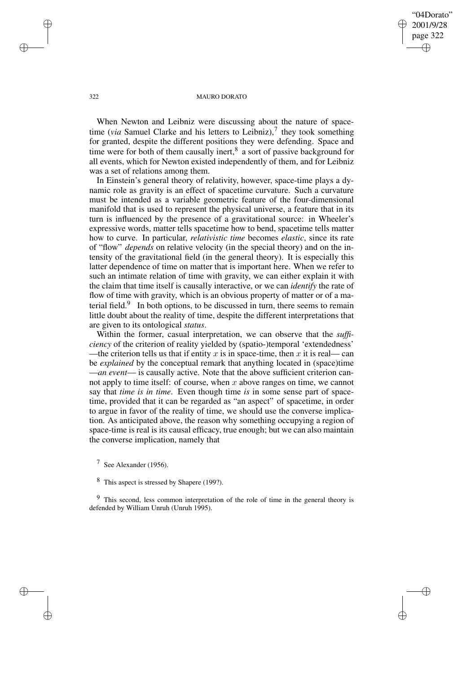When Newton and Leibniz were discussing about the nature of spacetime (*via* Samuel Clarke and his letters to Leibniz),<sup>7</sup> they took something for granted, despite the different positions they were defending. Space and time were for both of them causally inert, ${}^{8}$  a sort of passive background for all events, which for Newton existed independently of them, and for Leibniz was a set of relations among them.

In Einstein's general theory of relativity, however, space-time plays a dynamic role as gravity is an effect of spacetime curvature. Such a curvature must be intended as a variable geometric feature of the four-dimensional manifold that is used to represent the physical universe, a feature that in its turn is influenced by the presence of a gravitational source: in Wheeler's expressive words, matter tells spacetime how to bend, spacetime tells matter how to curve. In particular, *relativistic time* becomes *elastic*, since its rate of "flow" *depends* on relative velocity (in the special theory) and on the intensity of the gravitational field (in the general theory). It is especially this latter dependence of time on matter that is important here. When we refer to such an intimate relation of time with gravity, we can either explain it with the claim that time itself is causally interactive, or we can *identify* the rate of flow of time with gravity, which is an obvious property of matter or of a material field. $9$  In both options, to be discussed in turn, there seems to remain little doubt about the reality of time, despite the different interpretations that are given to its ontological *status*.

Within the former, casual interpretation, we can observe that the *sufficiency* of the criterion of reality yielded by (spatio-)temporal 'extendedness' —the criterion tells us that if entity x is in space-time, then x it is real— can be *explained* by the conceptual remark that anything located in (space)time —*an event*— is causally active. Note that the above sufficient criterion cannot apply to time itself: of course, when  $x$  above ranges on time, we cannot say that *time is in time*. Even though time *is* in some sense part of spacetime, provided that it can be regarded as "an aspect" of spacetime, in order to argue in favor of the reality of time, we should use the converse implication. As anticipated above, the reason why something occupying a region of space-time is real is its causal efficacy, true enough; but we can also maintain the converse implication, namely that

<sup>7</sup> See Alexander (1956).

<sup>9</sup> This second, less common interpretation of the role of time in the general theory is defended by William Unruh (Unruh 1995).

<sup>8</sup> This aspect is stressed by Shapere (199?).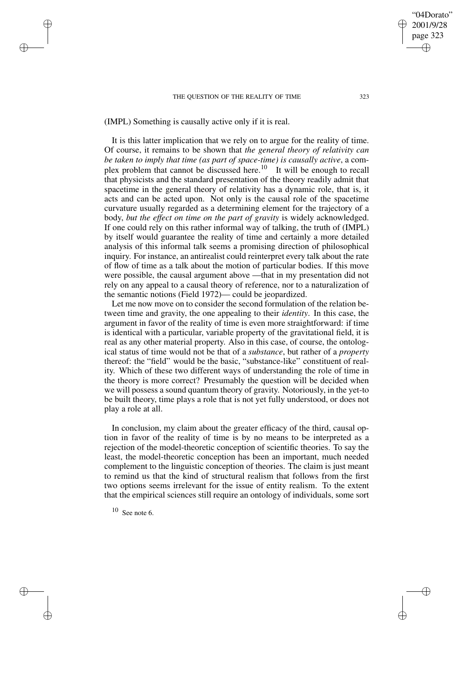(IMPL) Something is causally active only if it is real.

It is this latter implication that we rely on to argue for the reality of time. Of course, it remains to be shown that *the general theory of relativity can be taken to imply that time (as part of space-time) is causally active*, a complex problem that cannot be discussed here.<sup>10</sup> It will be enough to recall that physicists and the standard presentation of the theory readily admit that spacetime in the general theory of relativity has a dynamic role, that is, it acts and can be acted upon. Not only is the causal role of the spacetime curvature usually regarded as a determining element for the trajectory of a body, *but the effect on time on the part of gravity* is widely acknowledged. If one could rely on this rather informal way of talking, the truth of (IMPL) by itself would guarantee the reality of time and certainly a more detailed analysis of this informal talk seems a promising direction of philosophical inquiry. For instance, an antirealist could reinterpret every talk about the rate of flow of time as a talk about the motion of particular bodies. If this move were possible, the causal argument above —that in my presentation did not rely on any appeal to a causal theory of reference, nor to a naturalization of the semantic notions (Field 1972)— could be jeopardized.

Let me now move on to consider the second formulation of the relation between time and gravity, the one appealing to their *identity*. In this case, the argument in favor of the reality of time is even more straightforward: if time is identical with a particular, variable property of the gravitational field, it is real as any other material property. Also in this case, of course, the ontological status of time would not be that of a *substance*, but rather of a *property* thereof: the "field" would be the basic, "substance-like" constituent of reality. Which of these two different ways of understanding the role of time in the theory is more correct? Presumably the question will be decided when we will possess a sound quantum theory of gravity. Notoriously, in the yet-to be built theory, time plays a role that is not yet fully understood, or does not play a role at all.

In conclusion, my claim about the greater efficacy of the third, causal option in favor of the reality of time is by no means to be interpreted as a rejection of the model-theoretic conception of scientific theories. To say the least, the model-theoretic conception has been an important, much needed complement to the linguistic conception of theories. The claim is just meant to remind us that the kind of structural realism that follows from the first two options seems irrelevant for the issue of entity realism. To the extent that the empirical sciences still require an ontology of individuals, some sort

<sup>10</sup> See note 6.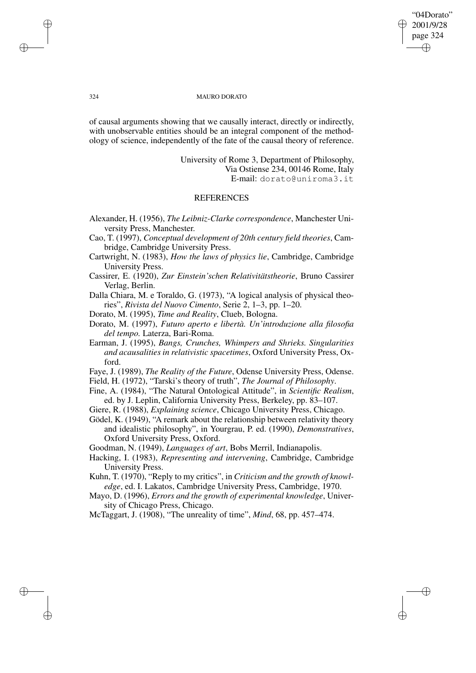of causal arguments showing that we causally interact, directly or indirectly, with unobservable entities should be an integral component of the methodology of science, independently of the fate of the causal theory of reference.

> University of Rome 3, Department of Philosophy, Via Ostiense 234, 00146 Rome, Italy E-mail: dorato@uniroma3.it

## **REFERENCES**

- Alexander, H. (1956), *The Leibniz-Clarke correspondence*, Manchester University Press, Manchester.
- Cao, T. (1997), *Conceptual development of 20th century field theories*, Cambridge, Cambridge University Press.
- Cartwright, N. (1983), *How the laws of physics lie*, Cambridge, Cambridge University Press.
- Cassirer, E. (1920), *Zur Einstein'schen Relativitätstheorie*, Bruno Cassirer Verlag, Berlin.
- Dalla Chiara, M. e Toraldo, G. (1973), "A logical analysis of physical theories", *Rivista del Nuovo Cimento*, Serie 2, 1–3, pp. 1–20.
- Dorato, M. (1995), *Time and Reality*, Clueb, Bologna.
- Dorato, M. (1997), *Futuro aperto e libertà. Un'introduzione alla filosofia del tempo.* Laterza, Bari-Roma.
- Earman, J. (1995), *Bangs, Crunches, Whimpers and Shrieks. Singularities and acausalities in relativistic spacetimes*, Oxford University Press, Oxford.
- Faye, J. (1989), *The Reality of the Future*, Odense University Press, Odense.
- Field, H. (1972), "Tarski's theory of truth", *The Journal of Philosophy*.
- Fine, A. (1984), "The Natural Ontological Attitude", in *Scientific Realism*, ed. by J. Leplin, California University Press, Berkeley, pp. 83–107.
- Giere, R. (1988), *Explaining science*, Chicago University Press, Chicago.
- Gödel, K. (1949), "A remark about the relationship between relativity theory and idealistic philosophy", in Yourgrau, P. ed. (1990), *Demonstratives*, Oxford University Press, Oxford.
- Goodman, N. (1949), *Languages of art*, Bobs Merril, Indianapolis.
- Hacking, I. (1983), *Representing and intervening*, Cambridge, Cambridge University Press.
- Kuhn, T. (1970), "Reply to my critics", in *Criticism and the growth of knowledge*, ed. I. Lakatos, Cambridge University Press, Cambridge, 1970.
- Mayo, D. (1996), *Errors and the growth of experimental knowledge*, University of Chicago Press, Chicago.
- McTaggart, J. (1908), "The unreality of time", *Mind*, 68, pp. 457–474.